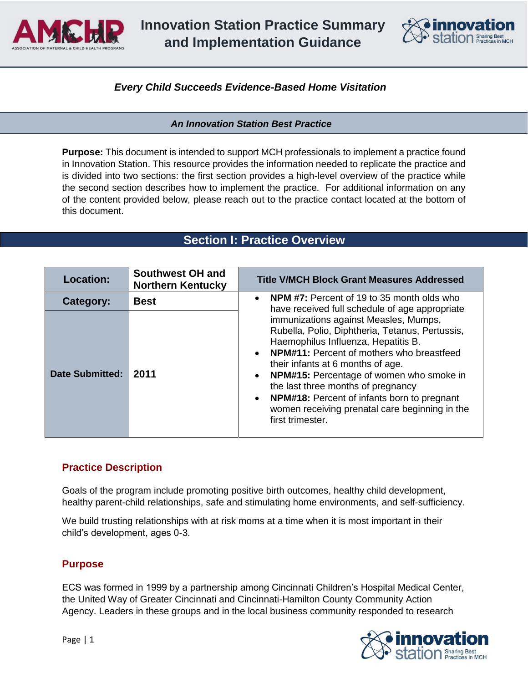

**Innovation Station Practice Summary and Implementation Guidance**



### *Every Child Succeeds Evidence-Based Home Visitation*

#### *An Innovation Station Best Practice*

**Purpose:** This document is intended to support MCH professionals to implement a practice found in Innovation Station. This resource provides the information needed to replicate the practice and is divided into two sections: the first section provides a high-level overview of the practice while the second section describes how to implement the practice. For additional information on any of the content provided below, please reach out to the practice contact located at the bottom of this document.

## **Section I: Practice Overview**

| Location:              | <b>Southwest OH and</b><br><b>Northern Kentucky</b> | <b>Title V/MCH Block Grant Measures Addressed</b>                                                                                                                                                                                                                                                                                                                                                                                                   |
|------------------------|-----------------------------------------------------|-----------------------------------------------------------------------------------------------------------------------------------------------------------------------------------------------------------------------------------------------------------------------------------------------------------------------------------------------------------------------------------------------------------------------------------------------------|
| Category:              | <b>Best</b>                                         | <b>NPM #7:</b> Percent of 19 to 35 month olds who<br>have received full schedule of age appropriate                                                                                                                                                                                                                                                                                                                                                 |
| <b>Date Submitted:</b> | 2011                                                | immunizations against Measles, Mumps,<br>Rubella, Polio, Diphtheria, Tetanus, Pertussis,<br>Haemophilus Influenza, Hepatitis B.<br><b>NPM#11:</b> Percent of mothers who breastfeed<br>their infants at 6 months of age.<br>NPM#15: Percentage of women who smoke in<br>the last three months of pregnancy<br><b>NPM#18:</b> Percent of infants born to pregnant<br>$\bullet$<br>women receiving prenatal care beginning in the<br>first trimester. |

### **Practice Description**

Goals of the program include promoting positive birth outcomes, healthy child development, healthy parent-child relationships, safe and stimulating home environments, and self-sufficiency.

We build trusting relationships with at risk moms at a time when it is most important in their child's development, ages 0-3.

### **Purpose**

ECS was formed in 1999 by a partnership among Cincinnati Children's Hospital Medical Center, the United Way of Greater Cincinnati and Cincinnati-Hamilton County Community Action Agency. Leaders in these groups and in the local business community responded to research

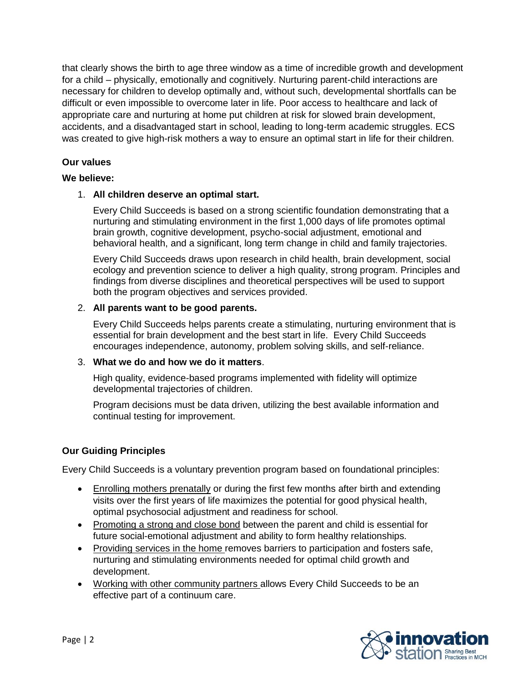that clearly shows the birth to age three window as a time of incredible growth and development for a child – physically, emotionally and cognitively. Nurturing parent-child interactions are necessary for children to develop optimally and, without such, developmental shortfalls can be difficult or even impossible to overcome later in life. Poor access to healthcare and lack of appropriate care and nurturing at home put children at risk for slowed brain development, accidents, and a disadvantaged start in school, leading to long-term academic struggles. ECS was created to give high-risk mothers a way to ensure an optimal start in life for their children.

### **Our values**

### **We believe:**

### 1. **All children deserve an optimal start.**

Every Child Succeeds is based on a strong scientific foundation demonstrating that a nurturing and stimulating environment in the first 1,000 days of life promotes optimal brain growth, cognitive development, psycho-social adjustment, emotional and behavioral health, and a significant, long term change in child and family trajectories.

Every Child Succeeds draws upon research in child health, brain development, social ecology and prevention science to deliver a high quality, strong program. Principles and findings from diverse disciplines and theoretical perspectives will be used to support both the program objectives and services provided.

### 2. **All parents want to be good parents.**

Every Child Succeeds helps parents create a stimulating, nurturing environment that is essential for brain development and the best start in life. Every Child Succeeds encourages independence, autonomy, problem solving skills, and self-reliance.

### 3. **What we do and how we do it matters**.

High quality, evidence-based programs implemented with fidelity will optimize developmental trajectories of children.

Program decisions must be data driven, utilizing the best available information and continual testing for improvement.

### **Our Guiding Principles**

Every Child Succeeds is a voluntary prevention program based on foundational principles:

- Enrolling mothers prenatally or during the first few months after birth and extending visits over the first years of life maximizes the potential for good physical health, optimal psychosocial adjustment and readiness for school.
- Promoting a strong and close bond between the parent and child is essential for future social-emotional adjustment and ability to form healthy relationships.
- Providing services in the home removes barriers to participation and fosters safe, nurturing and stimulating environments needed for optimal child growth and development.
- Working with other community partners allows Every Child Succeeds to be an effective part of a continuum care.

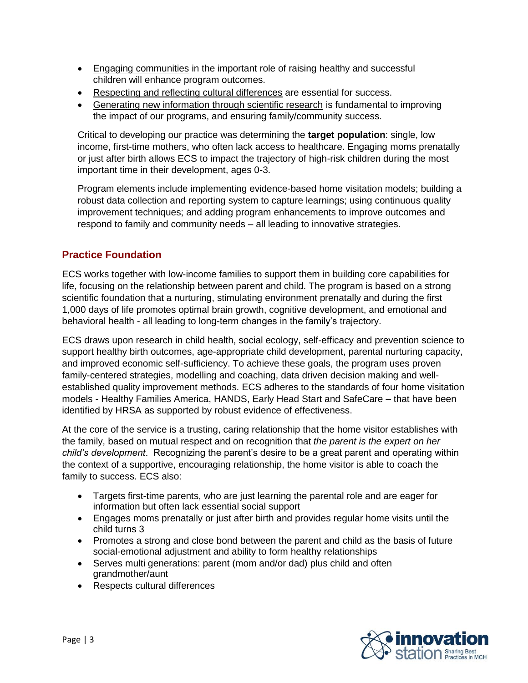- Engaging communities in the important role of raising healthy and successful children will enhance program outcomes.
- Respecting and reflecting cultural differences are essential for success.
- Generating new information through scientific research is fundamental to improving the impact of our programs, and ensuring family/community success.

Critical to developing our practice was determining the **target population**: single, low income, first-time mothers, who often lack access to healthcare. Engaging moms prenatally or just after birth allows ECS to impact the trajectory of high-risk children during the most important time in their development, ages 0-3.

Program elements include implementing evidence-based home visitation models; building a robust data collection and reporting system to capture learnings; using continuous quality improvement techniques; and adding program enhancements to improve outcomes and respond to family and community needs – all leading to innovative strategies.

## **Practice Foundation**

ECS works together with low-income families to support them in building core capabilities for life, focusing on the relationship between parent and child. The program is based on a strong scientific foundation that a nurturing, stimulating environment prenatally and during the first 1,000 days of life promotes optimal brain growth, cognitive development, and emotional and behavioral health - all leading to long-term changes in the family's trajectory.

ECS draws upon research in child health, social ecology, self-efficacy and prevention science to support healthy birth outcomes, age-appropriate child development, parental nurturing capacity, and improved economic self-sufficiency. To achieve these goals, the program uses proven family-centered strategies, modelling and coaching, data driven decision making and wellestablished quality improvement methods. ECS adheres to the standards of four home visitation models - Healthy Families America, HANDS, Early Head Start and SafeCare – that have been identified by HRSA as supported by robust evidence of effectiveness.

At the core of the service is a trusting, caring relationship that the home visitor establishes with the family, based on mutual respect and on recognition that *the parent is the expert on her child's development*. Recognizing the parent's desire to be a great parent and operating within the context of a supportive, encouraging relationship, the home visitor is able to coach the family to success. ECS also:

- Targets first-time parents, who are just learning the parental role and are eager for information but often lack essential social support
- Engages moms prenatally or just after birth and provides regular home visits until the child turns 3
- Promotes a strong and close bond between the parent and child as the basis of future social-emotional adjustment and ability to form healthy relationships
- Serves multi generations: parent (mom and/or dad) plus child and often grandmother/aunt
- Respects cultural differences

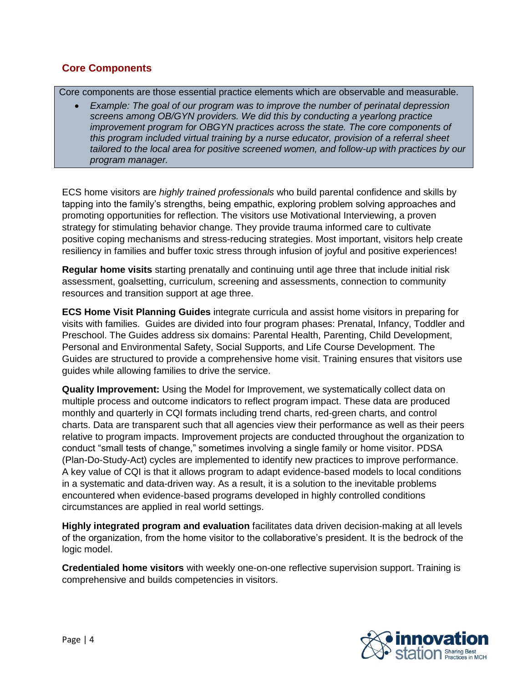## **Core Components**

Core components are those essential practice elements which are observable and measurable.

• *Example: The goal of our program was to improve the number of perinatal depression screens among OB/GYN providers. We did this by conducting a yearlong practice improvement program for OBGYN practices across the state. The core components of this program included virtual training by a nurse educator, provision of a referral sheet tailored to the local area for positive screened women, and follow-up with practices by our program manager.*

ECS home visitors are *highly trained professionals* who build parental confidence and skills by tapping into the family's strengths, being empathic, exploring problem solving approaches and promoting opportunities for reflection. The visitors use Motivational Interviewing, a proven strategy for stimulating behavior change. They provide trauma informed care to cultivate positive coping mechanisms and stress-reducing strategies. Most important, visitors help create resiliency in families and buffer toxic stress through infusion of joyful and positive experiences!

**Regular home visits** starting prenatally and continuing until age three that include initial risk assessment, goalsetting, curriculum, screening and assessments, connection to community resources and transition support at age three.

**ECS Home Visit Planning Guides** integrate curricula and assist home visitors in preparing for visits with families. Guides are divided into four program phases: Prenatal, Infancy, Toddler and Preschool. The Guides address six domains: Parental Health, Parenting, Child Development, Personal and Environmental Safety, Social Supports, and Life Course Development. The Guides are structured to provide a comprehensive home visit. Training ensures that visitors use guides while allowing families to drive the service.

**Quality Improvement:** Using the Model for Improvement, we systematically collect data on multiple process and outcome indicators to reflect program impact. These data are produced monthly and quarterly in CQI formats including trend charts, red-green charts, and control charts. Data are transparent such that all agencies view their performance as well as their peers relative to program impacts. Improvement projects are conducted throughout the organization to conduct "small tests of change," sometimes involving a single family or home visitor. PDSA (Plan-Do-Study-Act) cycles are implemented to identify new practices to improve performance. A key value of CQI is that it allows program to adapt evidence-based models to local conditions in a systematic and data-driven way. As a result, it is a solution to the inevitable problems encountered when evidence-based programs developed in highly controlled conditions circumstances are applied in real world settings.

**Highly integrated program and evaluation** facilitates data driven decision-making at all levels of the organization, from the home visitor to the collaborative's president. It is the bedrock of the logic model.

**Credentialed home visitors** with weekly one-on-one reflective supervision support. Training is comprehensive and builds competencies in visitors.

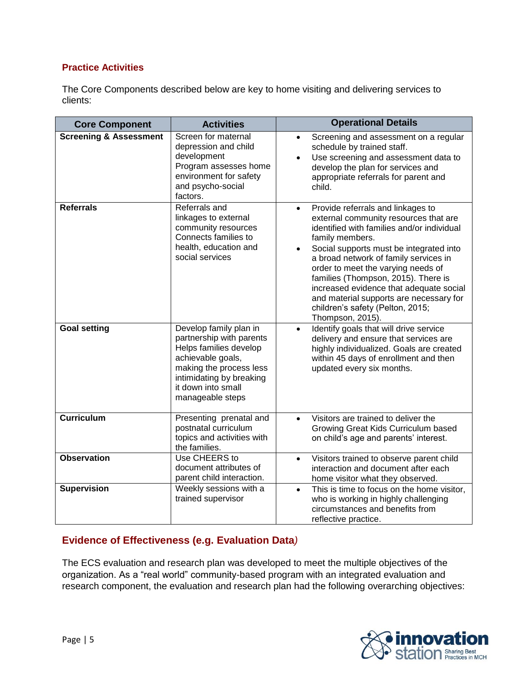### **Practice Activities**

The Core Components described below are key to home visiting and delivering services to clients:

| <b>Core Component</b>             | <b>Activities</b>                                                                                                                                                                                  | <b>Operational Details</b>                                                                                                                                                                                                                                                                                                                                                                                                                                                           |  |
|-----------------------------------|----------------------------------------------------------------------------------------------------------------------------------------------------------------------------------------------------|--------------------------------------------------------------------------------------------------------------------------------------------------------------------------------------------------------------------------------------------------------------------------------------------------------------------------------------------------------------------------------------------------------------------------------------------------------------------------------------|--|
| <b>Screening &amp; Assessment</b> | Screen for maternal<br>depression and child<br>development<br>Program assesses home<br>environment for safety<br>and psycho-social<br>factors.                                                     | Screening and assessment on a regular<br>$\bullet$<br>schedule by trained staff.<br>Use screening and assessment data to<br>$\bullet$<br>develop the plan for services and<br>appropriate referrals for parent and<br>child.                                                                                                                                                                                                                                                         |  |
| <b>Referrals</b>                  | Referrals and<br>linkages to external<br>community resources<br>Connects families to<br>health, education and<br>social services                                                                   | Provide referrals and linkages to<br>$\bullet$<br>external community resources that are<br>identified with families and/or individual<br>family members.<br>Social supports must be integrated into<br>$\bullet$<br>a broad network of family services in<br>order to meet the varying needs of<br>families (Thompson, 2015). There is<br>increased evidence that adequate social<br>and material supports are necessary for<br>children's safety (Pelton, 2015;<br>Thompson, 2015). |  |
| <b>Goal setting</b>               | Develop family plan in<br>partnership with parents<br>Helps families develop<br>achievable goals,<br>making the process less<br>intimidating by breaking<br>it down into small<br>manageable steps | Identify goals that will drive service<br>$\bullet$<br>delivery and ensure that services are<br>highly individualized. Goals are created<br>within 45 days of enrollment and then<br>updated every six months.                                                                                                                                                                                                                                                                       |  |
| <b>Curriculum</b>                 | Presenting prenatal and<br>postnatal curriculum<br>topics and activities with<br>the families.                                                                                                     | Visitors are trained to deliver the<br>$\bullet$<br>Growing Great Kids Curriculum based<br>on child's age and parents' interest.                                                                                                                                                                                                                                                                                                                                                     |  |
| <b>Observation</b>                | Use CHEERS to<br>document attributes of<br>parent child interaction.                                                                                                                               | Visitors trained to observe parent child<br>$\bullet$<br>interaction and document after each<br>home visitor what they observed.                                                                                                                                                                                                                                                                                                                                                     |  |
| <b>Supervision</b>                | Weekly sessions with a<br>trained supervisor                                                                                                                                                       | This is time to focus on the home visitor,<br>$\bullet$<br>who is working in highly challenging<br>circumstances and benefits from<br>reflective practice.                                                                                                                                                                                                                                                                                                                           |  |

## **Evidence of Effectiveness (e.g. Evaluation Data***)*

The ECS evaluation and research plan was developed to meet the multiple objectives of the organization. As a "real world" community-based program with an integrated evaluation and research component, the evaluation and research plan had the following overarching objectives:

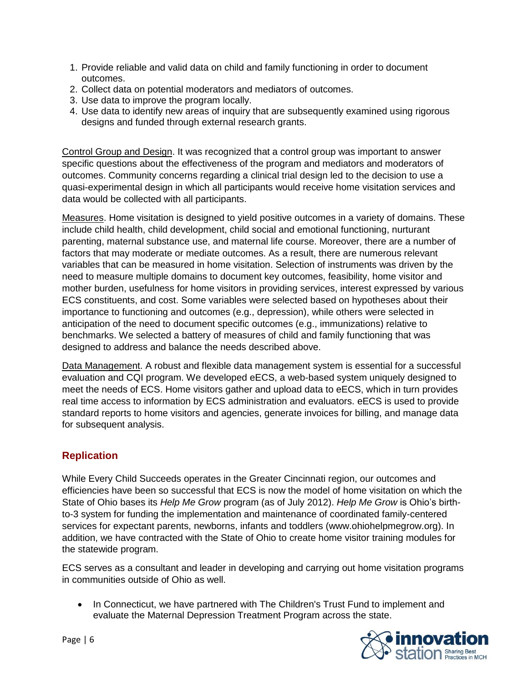- 1. Provide reliable and valid data on child and family functioning in order to document outcomes.
- 2. Collect data on potential moderators and mediators of outcomes.
- 3. Use data to improve the program locally.
- 4. Use data to identify new areas of inquiry that are subsequently examined using rigorous designs and funded through external research grants.

Control Group and Design. It was recognized that a control group was important to answer specific questions about the effectiveness of the program and mediators and moderators of outcomes. Community concerns regarding a clinical trial design led to the decision to use a quasi-experimental design in which all participants would receive home visitation services and data would be collected with all participants.

Measures. Home visitation is designed to yield positive outcomes in a variety of domains. These include child health, child development, child social and emotional functioning, nurturant parenting, maternal substance use, and maternal life course. Moreover, there are a number of factors that may moderate or mediate outcomes. As a result, there are numerous relevant variables that can be measured in home visitation. Selection of instruments was driven by the need to measure multiple domains to document key outcomes, feasibility, home visitor and mother burden, usefulness for home visitors in providing services, interest expressed by various ECS constituents, and cost. Some variables were selected based on hypotheses about their importance to functioning and outcomes (e.g., depression), while others were selected in anticipation of the need to document specific outcomes (e.g., immunizations) relative to benchmarks. We selected a battery of measures of child and family functioning that was designed to address and balance the needs described above.

Data Management. A robust and flexible data management system is essential for a successful evaluation and CQI program. We developed eECS, a web-based system uniquely designed to meet the needs of ECS. Home visitors gather and upload data to eECS, which in turn provides real time access to information by ECS administration and evaluators. eECS is used to provide standard reports to home visitors and agencies, generate invoices for billing, and manage data for subsequent analysis.

## **Replication**

While Every Child Succeeds operates in the Greater Cincinnati region, our outcomes and efficiencies have been so successful that ECS is now the model of home visitation on which the State of Ohio bases its *Help Me Grow* program (as of July 2012). *Help Me Grow* is Ohio's birthto-3 system for funding the implementation and maintenance of coordinated family-centered services for expectant parents, newborns, infants and toddlers (www.ohiohelpmegrow.org). In addition, we have contracted with the State of Ohio to create home visitor training modules for the statewide program.

ECS serves as a consultant and leader in developing and carrying out home visitation programs in communities outside of Ohio as well.

• In Connecticut, we have partnered with The Children's Trust Fund to implement and evaluate the Maternal Depression Treatment Program across the state.

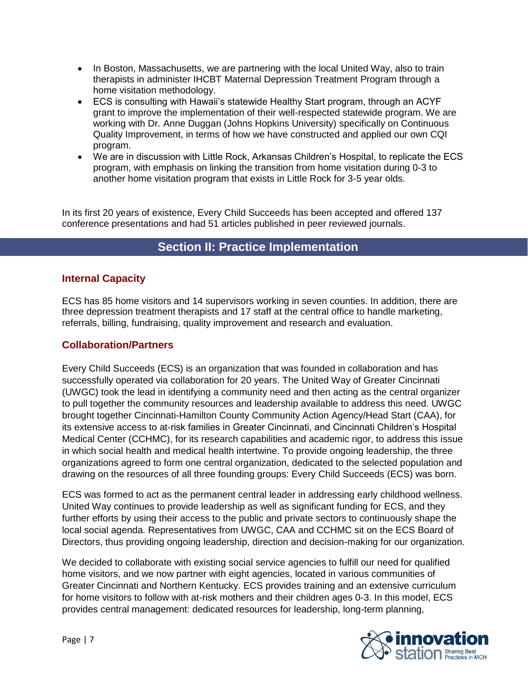- In Boston, Massachusetts, we are partnering with the local United Way, also to train therapists in administer IHCBT Maternal Depression Treatment Program through a home visitation methodology.
- ECS is consulting with Hawaii's statewide Healthy Start program, through an ACYF grant to improve the implementation of their well-respected statewide program. We are working with Dr. Anne Duggan (Johns Hopkins University) specifically on Continuous Quality Improvement, in terms of how we have constructed and applied our own CQI program.
- We are in discussion with Little Rock, Arkansas Children's Hospital, to replicate the ECS program, with emphasis on linking the transition from home visitation during 0-3 to another home visitation program that exists in Little Rock for 3-5 year olds.

In its first 20 years of existence, Every Child Succeeds has been accepted and offered 137 conference presentations and had 51 articles published in peer reviewed journals.

# **Section II: Practice Implementation**

### **Internal Capacity**

ECS has 85 home visitors and 14 supervisors working in seven counties. In addition, there are three depression treatment therapists and 17 staff at the central office to handle marketing, referrals, billing, fundraising, quality improvement and research and evaluation.

### **Collaboration/Partners**

Every Child Succeeds (ECS) is an organization that was founded in collaboration and has successfully operated via collaboration for 20 years. The United Way of Greater Cincinnati (UWGC) took the lead in identifying a community need and then acting as the central organizer to pull together the community resources and leadership available to address this need. UWGC brought together Cincinnati-Hamilton County Community Action Agency/Head Start (CAA), for its extensive access to at-risk families in Greater Cincinnati, and Cincinnati Children's Hospital Medical Center (CCHMC), for its research capabilities and academic rigor, to address this issue in which social health and medical health intertwine. To provide ongoing leadership, the three organizations agreed to form one central organization, dedicated to the selected population and drawing on the resources of all three founding groups: Every Child Succeeds (ECS) was born.

ECS was formed to act as the permanent central leader in addressing early childhood wellness. United Way continues to provide leadership as well as significant funding for ECS, and they further efforts by using their access to the public and private sectors to continuously shape the local social agenda. Representatives from UWGC, CAA and CCHMC sit on the ECS Board of Directors, thus providing ongoing leadership, direction and decision-making for our organization.

We decided to collaborate with existing social service agencies to fulfill our need for qualified home visitors, and we now partner with eight agencies, located in various communities of Greater Cincinnati and Northern Kentucky. ECS provides training and an extensive curriculum for home visitors to follow with at-risk mothers and their children ages 0-3. In this model, ECS provides central management: dedicated resources for leadership, long-term planning,

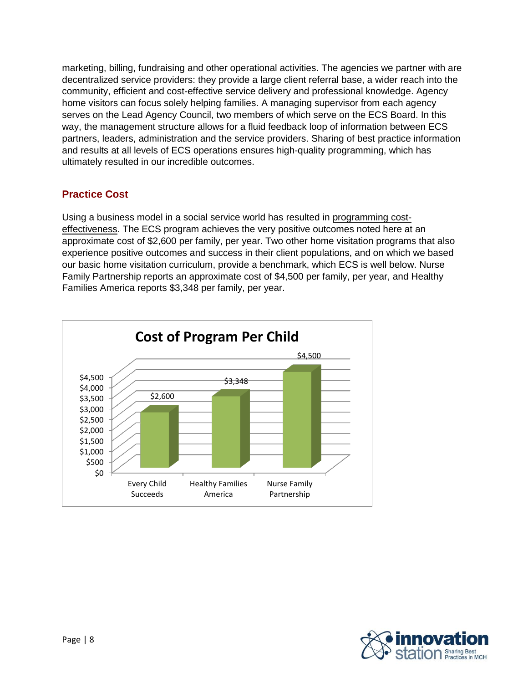marketing, billing, fundraising and other operational activities. The agencies we partner with are decentralized service providers: they provide a large client referral base, a wider reach into the community, efficient and cost-effective service delivery and professional knowledge. Agency home visitors can focus solely helping families. A managing supervisor from each agency serves on the Lead Agency Council, two members of which serve on the ECS Board. In this way, the management structure allows for a fluid feedback loop of information between ECS partners, leaders, administration and the service providers. Sharing of best practice information and results at all levels of ECS operations ensures high-quality programming, which has ultimately resulted in our incredible outcomes.

## **Practice Cost**

Using a business model in a social service world has resulted in programming costeffectiveness. The ECS program achieves the very positive outcomes noted here at an approximate cost of \$2,600 per family, per year. Two other home visitation programs that also experience positive outcomes and success in their client populations, and on which we based our basic home visitation curriculum, provide a benchmark, which ECS is well below. Nurse Family Partnership reports an approximate cost of \$4,500 per family, per year, and Healthy Families America reports \$3,348 per family, per year.



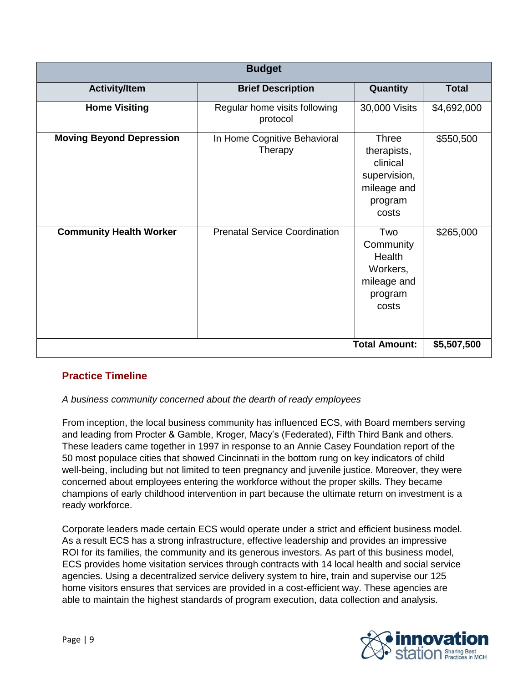| <b>Budget</b>                       |                                           |                                                                                            |              |  |  |  |
|-------------------------------------|-------------------------------------------|--------------------------------------------------------------------------------------------|--------------|--|--|--|
| <b>Activity/Item</b>                | <b>Brief Description</b>                  | Quantity                                                                                   | <b>Total</b> |  |  |  |
| <b>Home Visiting</b>                | Regular home visits following<br>protocol | 30,000 Visits                                                                              | \$4,692,000  |  |  |  |
| <b>Moving Beyond Depression</b>     | In Home Cognitive Behavioral<br>Therapy   | <b>Three</b><br>therapists,<br>clinical<br>supervision,<br>mileage and<br>program<br>costs | \$550,500    |  |  |  |
| <b>Community Health Worker</b>      | <b>Prenatal Service Coordination</b>      | Two<br>Community<br>Health<br>Workers,<br>mileage and<br>program<br>costs                  | \$265,000    |  |  |  |
| <b>Total Amount:</b><br>\$5,507,500 |                                           |                                                                                            |              |  |  |  |

## **Practice Timeline**

### *A business community concerned about the dearth of ready employees*

From inception, the local business community has influenced ECS, with Board members serving and leading from Procter & Gamble, Kroger, Macy's (Federated), Fifth Third Bank and others. These leaders came together in 1997 in response to an Annie Casey Foundation report of the 50 most populace cities that showed Cincinnati in the bottom rung on key indicators of child well-being, including but not limited to teen pregnancy and juvenile justice. Moreover, they were concerned about employees entering the workforce without the proper skills. They became champions of early childhood intervention in part because the ultimate return on investment is a ready workforce.

Corporate leaders made certain ECS would operate under a strict and efficient business model. As a result ECS has a strong infrastructure, effective leadership and provides an impressive ROI for its families, the community and its generous investors. As part of this business model, ECS provides home visitation services through contracts with 14 local health and social service agencies. Using a decentralized service delivery system to hire, train and supervise our 125 home visitors ensures that services are provided in a cost-efficient way. These agencies are able to maintain the highest standards of program execution, data collection and analysis.

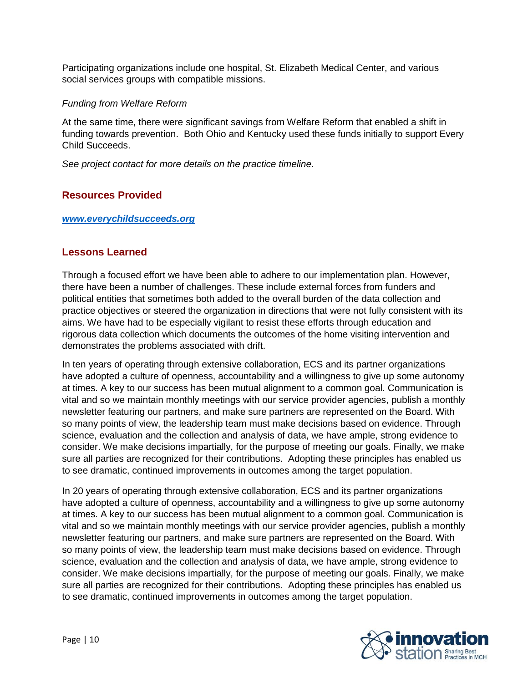Participating organizations include one hospital, St. Elizabeth Medical Center, and various social services groups with compatible missions.

#### *Funding from Welfare Reform*

At the same time, there were significant savings from Welfare Reform that enabled a shift in funding towards prevention. Both Ohio and Kentucky used these funds initially to support Every Child Succeeds.

*See project contact for more details on the practice timeline.* 

## **Resources Provided**

#### *[www.everychildsucceeds.org](http://www.everychildsucceeds.org/)*

### **Lessons Learned**

Through a focused effort we have been able to adhere to our implementation plan. However, there have been a number of challenges. These include external forces from funders and political entities that sometimes both added to the overall burden of the data collection and practice objectives or steered the organization in directions that were not fully consistent with its aims. We have had to be especially vigilant to resist these efforts through education and rigorous data collection which documents the outcomes of the home visiting intervention and demonstrates the problems associated with drift.

In ten years of operating through extensive collaboration, ECS and its partner organizations have adopted a culture of openness, accountability and a willingness to give up some autonomy at times. A key to our success has been mutual alignment to a common goal. Communication is vital and so we maintain monthly meetings with our service provider agencies, publish a monthly newsletter featuring our partners, and make sure partners are represented on the Board. With so many points of view, the leadership team must make decisions based on evidence. Through science, evaluation and the collection and analysis of data, we have ample, strong evidence to consider. We make decisions impartially, for the purpose of meeting our goals. Finally, we make sure all parties are recognized for their contributions. Adopting these principles has enabled us to see dramatic, continued improvements in outcomes among the target population.

In 20 years of operating through extensive collaboration, ECS and its partner organizations have adopted a culture of openness, accountability and a willingness to give up some autonomy at times. A key to our success has been mutual alignment to a common goal. Communication is vital and so we maintain monthly meetings with our service provider agencies, publish a monthly newsletter featuring our partners, and make sure partners are represented on the Board. With so many points of view, the leadership team must make decisions based on evidence. Through science, evaluation and the collection and analysis of data, we have ample, strong evidence to consider. We make decisions impartially, for the purpose of meeting our goals. Finally, we make sure all parties are recognized for their contributions. Adopting these principles has enabled us to see dramatic, continued improvements in outcomes among the target population.